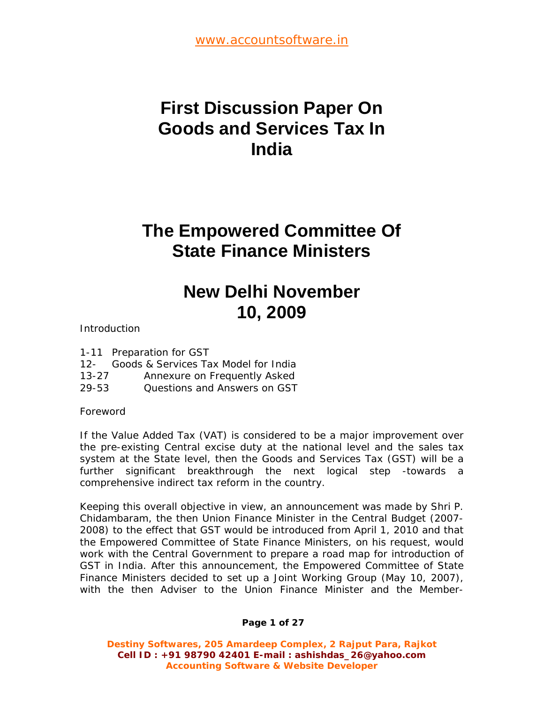# **First Discussion Paper On Goods and Services Tax In India**

# **The Empowered Committee Of State Finance Ministers**

# **New Delhi November 10, 2009**

**Introduction** 

- 1-11 Preparation for GST
- 12- Goods & Services Tax Model for India
- 13-27 Annexure on Frequently Asked
- 29-53 Questions and Answers on GST

Foreword

If the Value Added Tax (VAT) is considered to be a major improvement over the pre-existing Central excise duty at the national level and the sales tax system at the State level, then the Goods and Services Tax (GST) will be a further significant breakthrough the next logical step -towards a comprehensive indirect tax reform in the country.

Keeping this overall objective in view, an announcement was made by Shri P. Chidambaram, the then Union Finance Minister in the Central Budget (2007- 2008) to the effect that GST would be introduced from April 1, 2010 and that the Empowered Committee of State Finance Ministers, on his request, would work with the Central Government to prepare a road map for introduction of GST in India. After this announcement, the Empowered Committee of State Finance Ministers decided to set up a Joint Working Group (May 10, 2007), with the then Adviser to the Union Finance Minister and the Member-

### **Page 1 of 27**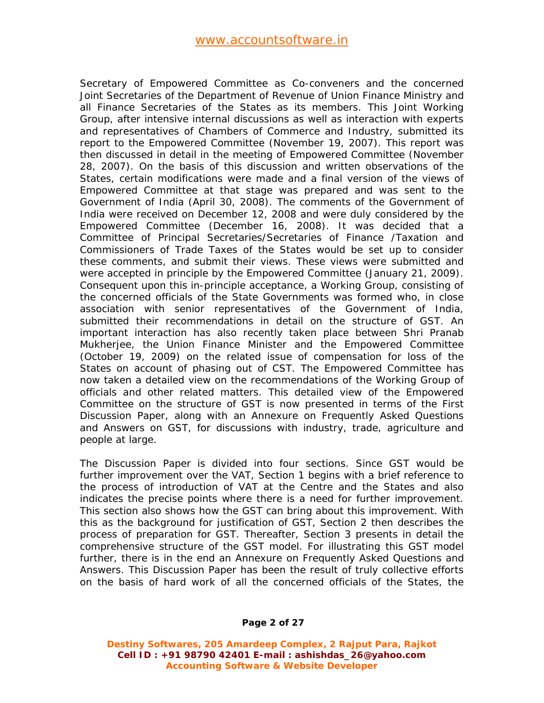Secretary of Empowered Committee as Co-conveners and the concerned Joint Secretaries of the Department of Revenue of Union Finance Ministry and all Finance Secretaries of the States as its members. This Joint Working Group, after intensive internal discussions as well as interaction with experts and representatives of Chambers of Commerce and Industry, submitted its report to the Empowered Committee (November 19, 2007). This report was then discussed in detail in the meeting of Empowered Committee (November 28, 2007). On the basis of this discussion and written observations of the States, certain modifications were made and a final version of the views of Empowered Committee at that stage was prepared and was sent to the Government of India (April 30, 2008). The comments of the Government of India were received on December 12, 2008 and were duly considered by the Empowered Committee (December 16, 2008). It was decided that a Committee of Principal Secretaries/Secretaries of Finance /Taxation and Commissioners of Trade Taxes of the States would be set up to consider these comments, and submit their views. These views were submitted and were accepted in principle by the Empowered Committee (January 21, 2009). Consequent upon this in-principle acceptance, a Working Group, consisting of the concerned officials of the State Governments was formed who, in close association with senior representatives of the Government of India, submitted their recommendations in detail on the structure of GST. An important interaction has also recently taken place between Shri Pranab Mukherjee, the Union Finance Minister and the Empowered Committee (October 19, 2009) on the related issue of compensation for loss of the States on account of phasing out of CST. The Empowered Committee has now taken a detailed view on the recommendations of the Working Group of officials and other related matters. This detailed view of the Empowered Committee on the structure of GST is now presented in terms of the First Discussion Paper, along with an Annexure on Frequently Asked Questions and Answers on GST, for discussions with industry, trade, agriculture and people at large.

The Discussion Paper is divided into four sections. Since GST would be further improvement over the VAT, Section 1 begins with a brief reference to the process of introduction of VAT at the Centre and the States and also indicates the precise points where there is a need for further improvement. This section also shows how the GST can bring about this improvement. With this as the background for justification of GST, Section 2 then describes the process of preparation for GST. Thereafter, Section 3 presents in detail the comprehensive structure of the GST model. For illustrating this GST model further, there is in the end an Annexure on Frequently Asked Questions and Answers. This Discussion Paper has been the result of truly collective efforts on the basis of hard work of all the concerned officials of the States, the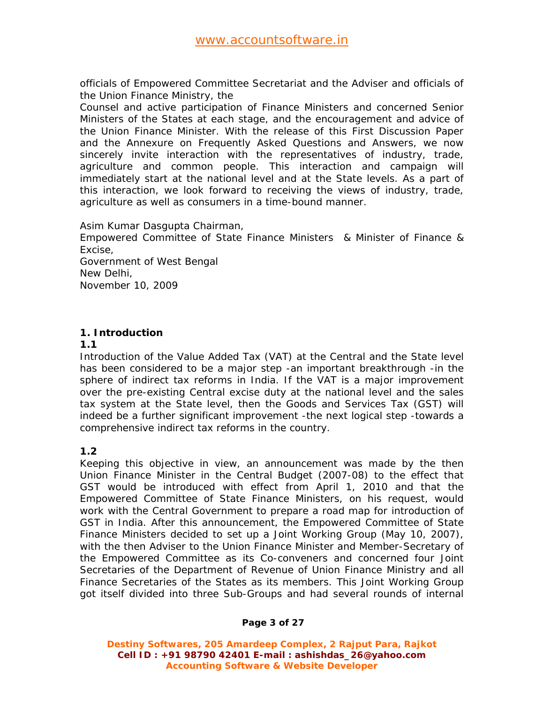officials of Empowered Committee Secretariat and the Adviser and officials of the Union Finance Ministry, the

Counsel and active participation of Finance Ministers and concerned Senior Ministers of the States at each stage, and the encouragement and advice of the Union Finance Minister. With the release of this First Discussion Paper and the Annexure on Frequently Asked Questions and Answers, we now sincerely invite interaction with the representatives of industry, trade, agriculture and common people. This interaction and campaign will immediately start at the national level and at the State levels. As a part of this interaction, we look forward to receiving the views of industry, trade, agriculture as well as consumers in a time-bound manner.

Asim Kumar Dasgupta Chairman,

Empowered Committee of State Finance Ministers & Minister of Finance & Excise, Government of West Bengal

New Delhi, November 10, 2009

# **1. Introduction**

#### **1.1**

Introduction of the Value Added Tax (VAT) at the Central and the State level has been considered to be a major step -an important breakthrough -in the sphere of indirect tax reforms in India. If the VAT is a major improvement over the pre-existing Central excise duty at the national level and the sales tax system at the State level, then the Goods and Services Tax (GST) will indeed be a further significant improvement -the next logical step -towards a comprehensive indirect tax reforms in the country.

# **1.2**

Keeping this objective in view, an announcement was made by the then Union Finance Minister in the Central Budget (2007-08) to the effect that GST would be introduced with effect from April 1, 2010 and that the Empowered Committee of State Finance Ministers, on his request, would work with the Central Government to prepare a road map for introduction of GST in India. After this announcement, the Empowered Committee of State Finance Ministers decided to set up a Joint Working Group (May 10, 2007), with the then Adviser to the Union Finance Minister and Member-Secretary of the Empowered Committee as its Co-conveners and concerned four Joint Secretaries of the Department of Revenue of Union Finance Ministry and all Finance Secretaries of the States as its members. This Joint Working Group got itself divided into three Sub-Groups and had several rounds of internal

#### **Page 3 of 27**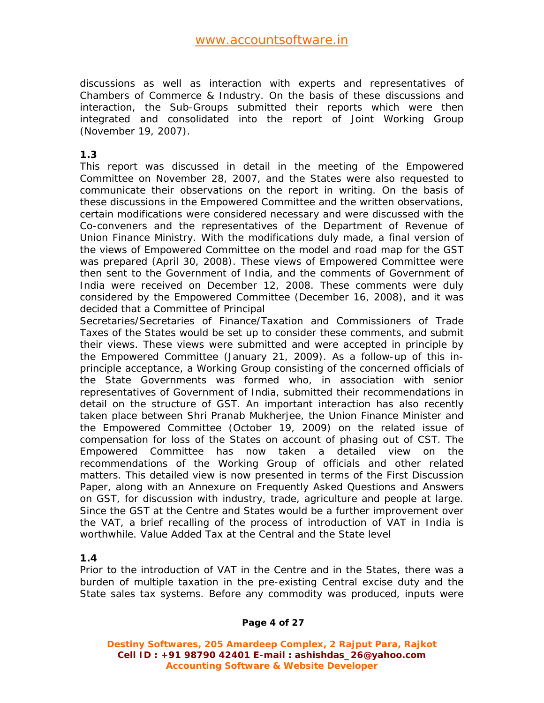discussions as well as interaction with experts and representatives of Chambers of Commerce & Industry. On the basis of these discussions and interaction, the Sub-Groups submitted their reports which were then integrated and consolidated into the report of Joint Working Group (November 19, 2007).

## **1.3**

This report was discussed in detail in the meeting of the Empowered Committee on November 28, 2007, and the States were also requested to communicate their observations on the report in writing. On the basis of these discussions in the Empowered Committee and the written observations, certain modifications were considered necessary and were discussed with the Co-conveners and the representatives of the Department of Revenue of Union Finance Ministry. With the modifications duly made, a final version of the views of Empowered Committee on the model and road map for the GST was prepared (April 30, 2008). These views of Empowered Committee were then sent to the Government of India, and the comments of Government of India were received on December 12, 2008. These comments were duly considered by the Empowered Committee (December 16, 2008), and it was decided that a Committee of Principal

Secretaries/Secretaries of Finance/Taxation and Commissioners of Trade Taxes of the States would be set up to consider these comments, and submit their views. These views were submitted and were accepted in principle by the Empowered Committee (January 21, 2009). As a follow-up of this inprinciple acceptance, a Working Group consisting of the concerned officials of the State Governments was formed who, in association with senior representatives of Government of India, submitted their recommendations in detail on the structure of GST. An important interaction has also recently taken place between Shri Pranab Mukherjee, the Union Finance Minister and the Empowered Committee (October 19, 2009) on the related issue of compensation for loss of the States on account of phasing out of CST. The Empowered Committee has now taken a detailed view on the recommendations of the Working Group of officials and other related matters. This detailed view is now presented in terms of the First Discussion Paper, along with an Annexure on Frequently Asked Questions and Answers on GST, for discussion with industry, trade, agriculture and people at large. Since the GST at the Centre and States would be a further improvement over the VAT, a brief recalling of the process of introduction of VAT in India is worthwhile. Value Added Tax at the Central and the State level

### **1.4**

Prior to the introduction of VAT in the Centre and in the States, there was a burden of multiple taxation in the pre-existing Central excise duty and the State sales tax systems. Before any commodity was produced, inputs were

#### **Page 4 of 27**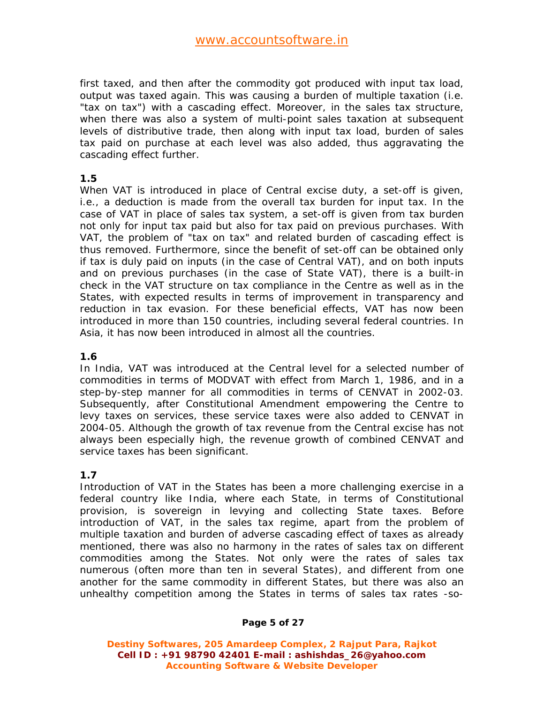first taxed, and then after the commodity got produced with input tax load, output was taxed again. This was causing a burden of multiple taxation (i.e. "tax on tax") with a cascading effect. Moreover, in the sales tax structure, when there was also a system of multi-point sales taxation at subsequent levels of distributive trade, then along with input tax load, burden of sales tax paid on purchase at each level was also added, thus aggravating the cascading effect further.

# **1.5**

When VAT is introduced in place of Central excise duty, a set-off is given, i.e., a deduction is made from the overall tax burden for input tax. In the case of VAT in place of sales tax system, a set-off is given from tax burden not only for input tax paid but also for tax paid on previous purchases. With VAT, the problem of "tax on tax" and related burden of cascading effect is thus removed. Furthermore, since the benefit of set-off can be obtained only if tax is duly paid on inputs (in the case of Central VAT), and on both inputs and on previous purchases (in the case of State VAT), there is a built-in check in the VAT structure on tax compliance in the Centre as well as in the States, with expected results in terms of improvement in transparency and reduction in tax evasion. For these beneficial effects, VAT has now been introduced in more than 150 countries, including several federal countries. In Asia, it has now been introduced in almost all the countries.

### **1.6**

In India, VAT was introduced at the Central level for a selected number of commodities in terms of MODVAT with effect from March 1, 1986, and in a step-by-step manner for all commodities in terms of CENVAT in 2002-03. Subsequently, after Constitutional Amendment empowering the Centre to levy taxes on services, these service taxes were also added to CENVAT in 2004-05. Although the growth of tax revenue from the Central excise has not always been especially high, the revenue growth of combined CENVAT and service taxes has been significant.

# **1.7**

Introduction of VAT in the States has been a more challenging exercise in a federal country like India, where each State, in terms of Constitutional provision, is sovereign in levying and collecting State taxes. Before introduction of VAT, in the sales tax regime, apart from the problem of multiple taxation and burden of adverse cascading effect of taxes as already mentioned, there was also no harmony in the rates of sales tax on different commodities among the States. Not only were the rates of sales tax numerous (often more than ten in several States), and different from one another for the same commodity in different States, but there was also an unhealthy competition among the States in terms of sales tax rates -so-

#### **Page 5 of 27**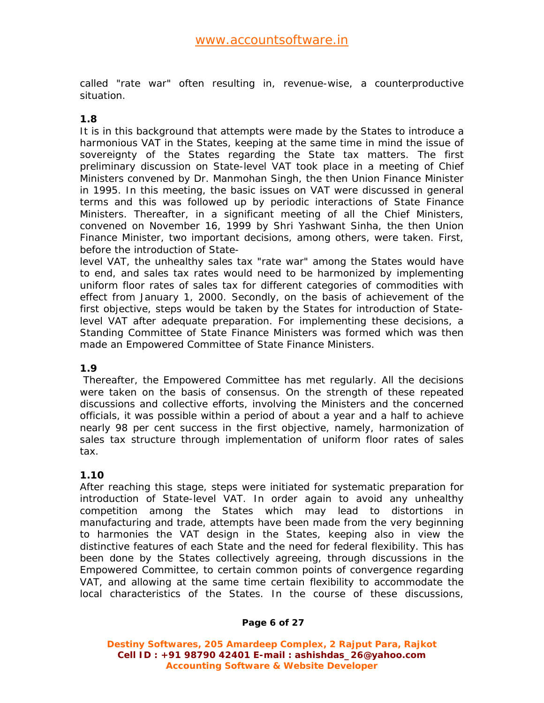called "rate war" often resulting in, revenue-wise, a counterproductive situation.

# **1.8**

It is in this background that attempts were made by the States to introduce a harmonious VAT in the States, keeping at the same time in mind the issue of sovereignty of the States regarding the State tax matters. The first preliminary discussion on State-level VAT took place in a meeting of Chief Ministers convened by Dr. Manmohan Singh, the then Union Finance Minister in 1995. In this meeting, the basic issues on VAT were discussed in general terms and this was followed up by periodic interactions of State Finance Ministers. Thereafter, in a significant meeting of all the Chief Ministers, convened on November 16, 1999 by Shri Yashwant Sinha, the then Union Finance Minister, two important decisions, among others, were taken. First, before the introduction of State-

level VAT, the unhealthy sales tax "rate war" among the States would have to end, and sales tax rates would need to be harmonized by implementing uniform floor rates of sales tax for different categories of commodities with effect from January 1, 2000. Secondly, on the basis of achievement of the first objective, steps would be taken by the States for introduction of Statelevel VAT after adequate preparation. For implementing these decisions, a Standing Committee of State Finance Ministers was formed which was then made an Empowered Committee of State Finance Ministers.

# **1.9**

 Thereafter, the Empowered Committee has met regularly. All the decisions were taken on the basis of consensus. On the strength of these repeated discussions and collective efforts, involving the Ministers and the concerned officials, it was possible within a period of about a year and a half to achieve nearly 98 per cent success in the first objective, namely, harmonization of sales tax structure through implementation of uniform floor rates of sales tax.

# **1.10**

After reaching this stage, steps were initiated for systematic preparation for introduction of State-level VAT. In order again to avoid any unhealthy competition among the States which may lead to distortions in manufacturing and trade, attempts have been made from the very beginning to harmonies the VAT design in the States, keeping also in view the distinctive features of each State and the need for federal flexibility. This has been done by the States collectively agreeing, through discussions in the Empowered Committee, to certain common points of convergence regarding VAT, and allowing at the same time certain flexibility to accommodate the local characteristics of the States. In the course of these discussions,

### **Page 6 of 27**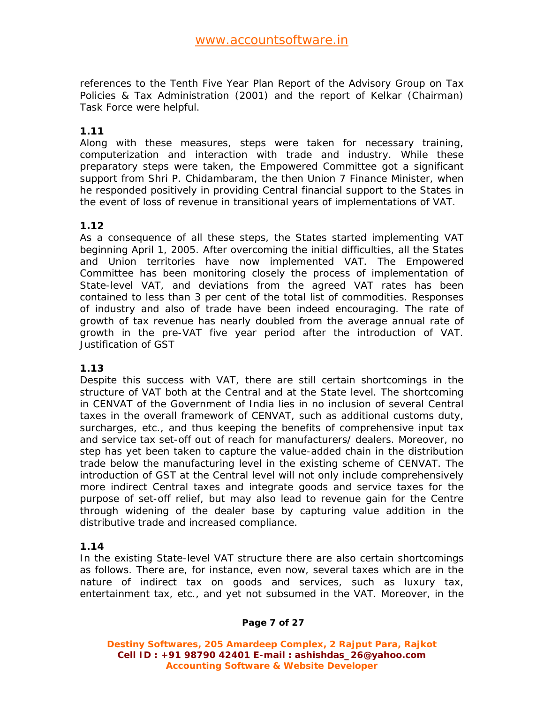references to the Tenth Five Year Plan Report of the Advisory Group on Tax Policies & Tax Administration (2001) and the report of Kelkar (Chairman) Task Force were helpful.

# **1.11**

Along with these measures, steps were taken for necessary training, computerization and interaction with trade and industry. While these preparatory steps were taken, the Empowered Committee got a significant support from Shri P. Chidambaram, the then Union 7 Finance Minister, when he responded positively in providing Central financial support to the States in the event of loss of revenue in transitional years of implementations of VAT.

# **1.12**

As a consequence of all these steps, the States started implementing VAT beginning April 1, 2005. After overcoming the initial difficulties, all the States and Union territories have now implemented VAT. The Empowered Committee has been monitoring closely the process of implementation of State-level VAT, and deviations from the agreed VAT rates has been contained to less than 3 per cent of the total list of commodities. Responses of industry and also of trade have been indeed encouraging. The rate of growth of tax revenue has nearly doubled from the average annual rate of growth in the pre-VAT five year period after the introduction of VAT. Justification of GST

# **1.13**

Despite this success with VAT, there are still certain shortcomings in the structure of VAT both at the Central and at the State level. The shortcoming in CENVAT of the Government of India lies in no inclusion of several Central taxes in the overall framework of CENVAT, such as additional customs duty, surcharges, etc., and thus keeping the benefits of comprehensive input tax and service tax set-off out of reach for manufacturers/ dealers. Moreover, no step has yet been taken to capture the value-added chain in the distribution trade below the manufacturing level in the existing scheme of CENVAT. The introduction of GST at the Central level will not only include comprehensively more indirect Central taxes and integrate goods and service taxes for the purpose of set-off relief, but may also lead to revenue gain for the Centre through widening of the dealer base by capturing value addition in the distributive trade and increased compliance.

### **1.14**

In the existing State-level VAT structure there are also certain shortcomings as follows. There are, for instance, even now, several taxes which are in the nature of indirect tax on goods and services, such as luxury tax, entertainment tax, etc., and yet not subsumed in the VAT. Moreover, in the

### **Page 7 of 27**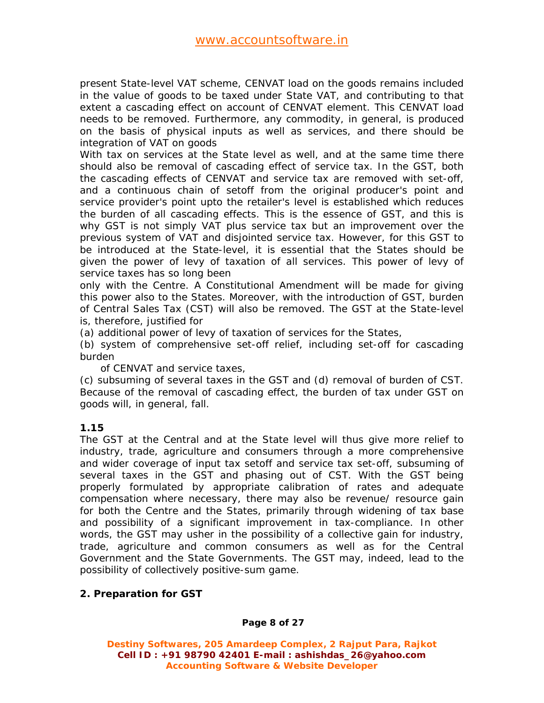present State-level VAT scheme, CENVAT load on the goods remains included in the value of goods to be taxed under State VAT, and contributing to that extent a cascading effect on account of CENVAT element. This CENVAT load needs to be removed. Furthermore, any commodity, in general, is produced on the basis of physical inputs as well as services, and there should be integration of VAT on goods

With tax on services at the State level as well, and at the same time there should also be removal of cascading effect of service tax. In the GST, both the cascading effects of CENVAT and service tax are removed with set-off, and a continuous chain of setoff from the original producer's point and service provider's point upto the retailer's level is established which reduces the burden of all cascading effects. This is the essence of GST, and this is why GST is not simply VAT plus service tax but an improvement over the previous system of VAT and disjointed service tax. However, for this GST to be introduced at the State-level, it is essential that the States should be given the power of levy of taxation of all services. This power of levy of service taxes has so long been

only with the Centre. A Constitutional Amendment will be made for giving this power also to the States. Moreover, with the introduction of GST, burden of Central Sales Tax (CST) will also be removed. The GST at the State-level is, therefore, justified for

(a) additional power of levy of taxation of services for the States,

(b) system of comprehensive set-off relief, including set-off for cascading burden

of CENVAT and service taxes,

(c) subsuming of several taxes in the GST and (d) removal of burden of CST. Because of the removal of cascading effect, the burden of tax under GST on goods will, in general, fall.

### **1.15**

The GST at the Central and at the State level will thus give more relief to industry, trade, agriculture and consumers through a more comprehensive and wider coverage of input tax setoff and service tax set-off, subsuming of several taxes in the GST and phasing out of CST. With the GST being properly formulated by appropriate calibration of rates and adequate compensation where necessary, there may also be revenue/ resource gain for both the Centre and the States, primarily through widening of tax base and possibility of a significant improvement in tax-compliance. In other words, the GST may usher in the possibility of a collective gain for industry, trade, agriculture and common consumers as well as for the Central Government and the State Governments. The GST may, indeed, lead to the possibility of collectively positive-sum game.

# **2. Preparation for GST**

#### **Page 8 of 27**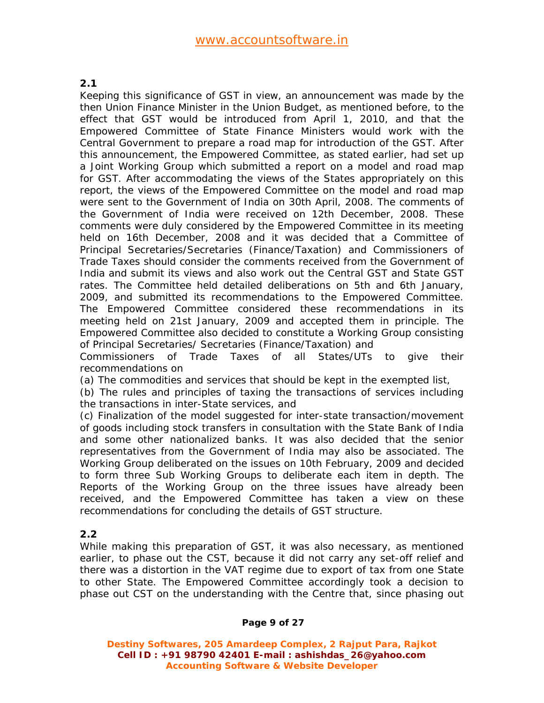# **2.1**

Keeping this significance of GST in view, an announcement was made by the then Union Finance Minister in the Union Budget, as mentioned before, to the effect that GST would be introduced from April 1, 2010, and that the Empowered Committee of State Finance Ministers would work with the Central Government to prepare a road map for introduction of the GST. After this announcement, the Empowered Committee, as stated earlier, had set up a Joint Working Group which submitted a report on a model and road map for GST. After accommodating the views of the States appropriately on this report, the views of the Empowered Committee on the model and road map were sent to the Government of India on 30th April, 2008. The comments of the Government of India were received on 12th December, 2008. These comments were duly considered by the Empowered Committee in its meeting held on 16th December, 2008 and it was decided that a Committee of Principal Secretaries/Secretaries (Finance/Taxation) and Commissioners of Trade Taxes should consider the comments received from the Government of India and submit its views and also work out the Central GST and State GST rates. The Committee held detailed deliberations on 5th and 6th January, 2009, and submitted its recommendations to the Empowered Committee. The Empowered Committee considered these recommendations in its meeting held on 21st January, 2009 and accepted them in principle. The Empowered Committee also decided to constitute a Working Group consisting of Principal Secretaries/ Secretaries (Finance/Taxation) and

Commissioners of Trade Taxes of all States/UTs to give their recommendations on

(a) The commodities and services that should be kept in the exempted list,

(b) The rules and principles of taxing the transactions of services including the transactions in inter-State services, and

(c) Finalization of the model suggested for inter-state transaction/movement of goods including stock transfers in consultation with the State Bank of India and some other nationalized banks. It was also decided that the senior representatives from the Government of India may also be associated. The Working Group deliberated on the issues on 10th February, 2009 and decided to form three Sub Working Groups to deliberate each item in depth. The Reports of the Working Group on the three issues have already been received, and the Empowered Committee has taken a view on these recommendations for concluding the details of GST structure.

# **2.2**

While making this preparation of GST, it was also necessary, as mentioned earlier, to phase out the CST, because it did not carry any set-off relief and there was a distortion in the VAT regime due to export of tax from one State to other State. The Empowered Committee accordingly took a decision to phase out CST on the understanding with the Centre that, since phasing out

### **Page 9 of 27**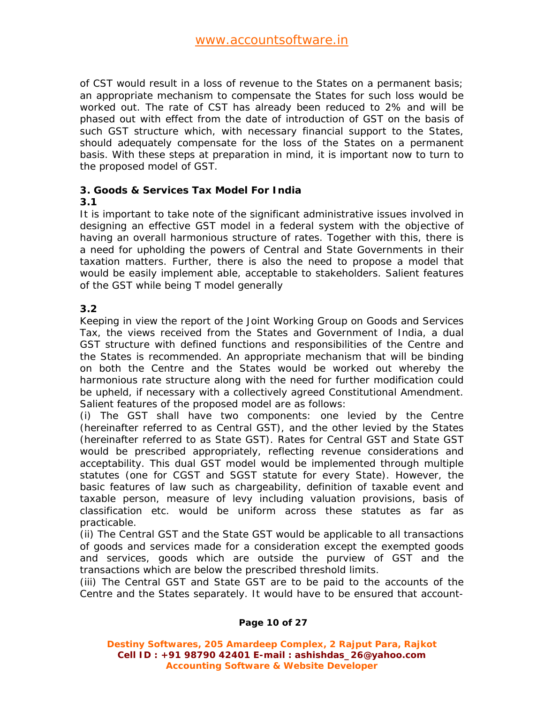of CST would result in a loss of revenue to the States on a permanent basis; an appropriate mechanism to compensate the States for such loss would be worked out. The rate of CST has already been reduced to 2% and will be phased out with effect from the date of introduction of GST on the basis of such GST structure which, with necessary financial support to the States, should adequately compensate for the loss of the States on a permanent basis. With these steps at preparation in mind, it is important now to turn to the proposed model of GST.

# **3. Goods & Services Tax Model For India**

## **3.1**

It is important to take note of the significant administrative issues involved in designing an effective GST model in a federal system with the objective of having an overall harmonious structure of rates. Together with this, there is a need for upholding the powers of Central and State Governments in their taxation matters. Further, there is also the need to propose a model that would be easily implement able, acceptable to stakeholders. Salient features of the GST while being T model generally

# **3.2**

Keeping in view the report of the Joint Working Group on Goods and Services Tax, the views received from the States and Government of India, a dual GST structure with defined functions and responsibilities of the Centre and the States is recommended. An appropriate mechanism that will be binding on both the Centre and the States would be worked out whereby the harmonious rate structure along with the need for further modification could be upheld, if necessary with a collectively agreed Constitutional Amendment. Salient features of the proposed model are as follows:

(i) The GST shall have two components: one levied by the Centre (hereinafter referred to as Central GST), and the other levied by the States (hereinafter referred to as State GST). Rates for Central GST and State GST would be prescribed appropriately, reflecting revenue considerations and acceptability. This dual GST model would be implemented through multiple statutes (one for CGST and SGST statute for every State). However, the basic features of law such as chargeability, definition of taxable event and taxable person, measure of levy including valuation provisions, basis of classification etc. would be uniform across these statutes as far as practicable.

(ii) The Central GST and the State GST would be applicable to all transactions of goods and services made for a consideration except the exempted goods and services, goods which are outside the purview of GST and the transactions which are below the prescribed threshold limits.

(iii) The Central GST and State GST are to be paid to the accounts of the Centre and the States separately. It would have to be ensured that account-

### **Page 10 of 27**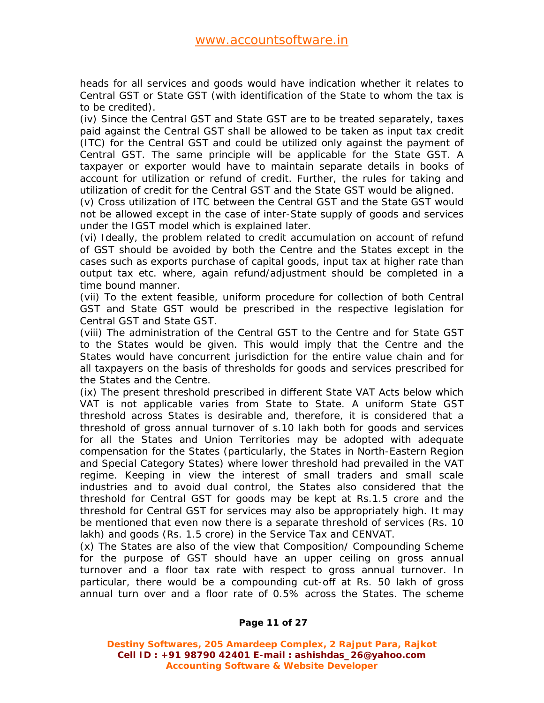heads for all services and goods would have indication whether it relates to Central GST or State GST (with identification of the State to whom the tax is to be credited).

(iv) Since the Central GST and State GST are to be treated separately, taxes paid against the Central GST shall be allowed to be taken as input tax credit (ITC) for the Central GST and could be utilized only against the payment of Central GST. The same principle will be applicable for the State GST. A taxpayer or exporter would have to maintain separate details in books of account for utilization or refund of credit. Further, the rules for taking and utilization of credit for the Central GST and the State GST would be aligned.

(v) Cross utilization of ITC between the Central GST and the State GST would not be allowed except in the case of inter-State supply of goods and services under the IGST model which is explained later.

(vi) Ideally, the problem related to credit accumulation on account of refund of GST should be avoided by both the Centre and the States except in the cases such as exports purchase of capital goods, input tax at higher rate than output tax etc. where, again refund/adjustment should be completed in a time bound manner.

(vii) To the extent feasible, uniform procedure for collection of both Central GST and State GST would be prescribed in the respective legislation for Central GST and State GST.

(viii) The administration of the Central GST to the Centre and for State GST to the States would be given. This would imply that the Centre and the States would have concurrent jurisdiction for the entire value chain and for all taxpayers on the basis of thresholds for goods and services prescribed for the States and the Centre.

(ix) The present threshold prescribed in different State VAT Acts below which VAT is not applicable varies from State to State. A uniform State GST threshold across States is desirable and, therefore, it is considered that a threshold of gross annual turnover of s.10 lakh both for goods and services for all the States and Union Territories may be adopted with adequate compensation for the States (particularly, the States in North-Eastern Region and Special Category States) where lower threshold had prevailed in the VAT regime. Keeping in view the interest of small traders and small scale industries and to avoid dual control, the States also considered that the threshold for Central GST for goods may be kept at Rs.1.5 crore and the threshold for Central GST for services may also be appropriately high. It may be mentioned that even now there is a separate threshold of services (Rs. 10 lakh) and goods (Rs. 1.5 crore) in the Service Tax and CENVAT.

(x) The States are also of the view that Composition/ Compounding Scheme for the purpose of GST should have an upper ceiling on gross annual turnover and a floor tax rate with respect to gross annual turnover. In particular, there would be a compounding cut-off at Rs. 50 lakh of gross annual turn over and a floor rate of 0.5% across the States. The scheme

#### **Page 11 of 27**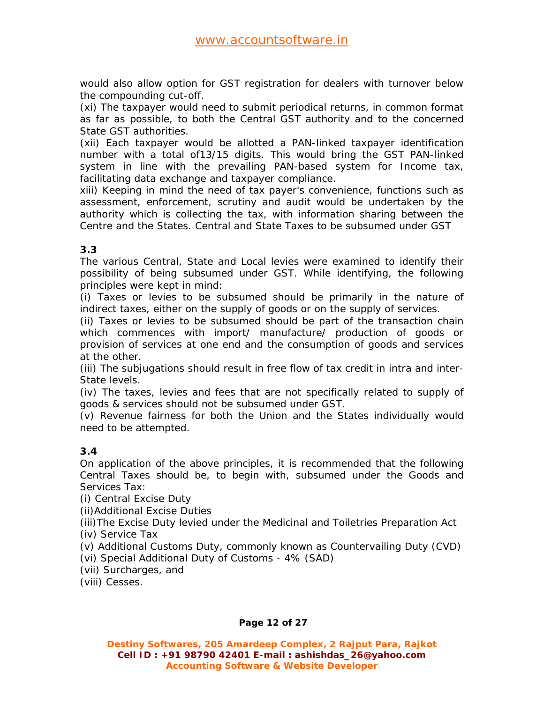would also allow option for GST registration for dealers with turnover below the compounding cut-off.

(xi) The taxpayer would need to submit periodical returns, in common format as far as possible, to both the Central GST authority and to the concerned State GST authorities.

(xii) Each taxpayer would be allotted a PAN-linked taxpayer identification number with a total of13/15 digits. This would bring the GST PAN-linked system in line with the prevailing PAN-based system for Income tax, facilitating data exchange and taxpayer compliance.

xiii) Keeping in mind the need of tax payer's convenience, functions such as assessment, enforcement, scrutiny and audit would be undertaken by the authority which is collecting the tax, with information sharing between the Centre and the States. Central and State Taxes to be subsumed under GST

# **3.3**

The various Central, State and Local levies were examined to identify their possibility of being subsumed under GST. While identifying, the following principles were kept in mind:

(i) Taxes or levies to be subsumed should be primarily in the nature of indirect taxes, either on the supply of goods or on the supply of services.

(ii) Taxes or levies to be subsumed should be part of the transaction chain which commences with import/ manufacture/ production of goods or provision of services at one end and the consumption of goods and services at the other.

(iii) The subjugations should result in free flow of tax credit in intra and inter-State levels.

(iv) The taxes, levies and fees that are not specifically related to supply of goods & services should not be subsumed under GST.

(v) Revenue fairness for both the Union and the States individually would need to be attempted.

# **3.4**

On application of the above principles, it is recommended that the following Central Taxes should be, to begin with, subsumed under the Goods and Services Tax:

(i) Central Excise Duty

(ii)Additional Excise Duties

(iii)The Excise Duty levied under the Medicinal and Toiletries Preparation Act

(iv) Service Tax

(v) Additional Customs Duty, commonly known as Countervailing Duty (CVD)

(vi) Special Additional Duty of Customs - 4% (SAD)

(vii) Surcharges, and

(viii) Cesses.

### **Page 12 of 27**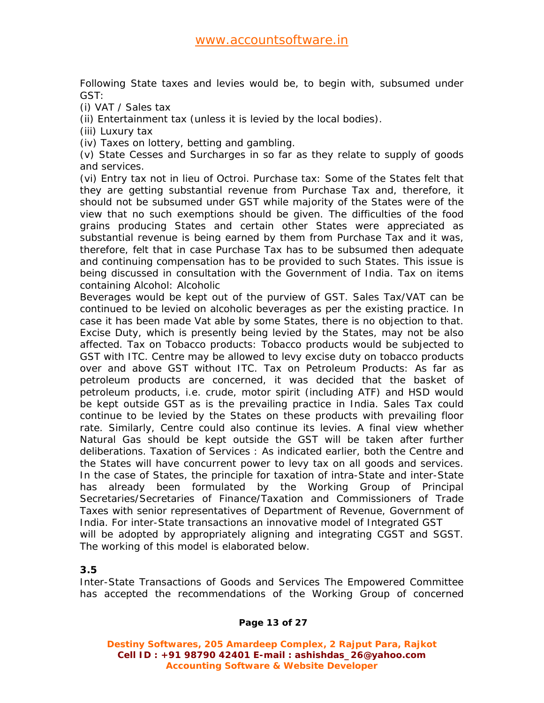Following State taxes and levies would be, to begin with, subsumed under GST:

(i) VAT / Sales tax

(ii) Entertainment tax (unless it is levied by the local bodies).

(iii) Luxury tax

(iv) Taxes on lottery, betting and gambling.

(v) State Cesses and Surcharges in so far as they relate to supply of goods and services.

(vi) Entry tax not in lieu of Octroi. Purchase tax: Some of the States felt that they are getting substantial revenue from Purchase Tax and, therefore, it should not be subsumed under GST while majority of the States were of the view that no such exemptions should be given. The difficulties of the food grains producing States and certain other States were appreciated as substantial revenue is being earned by them from Purchase Tax and it was, therefore, felt that in case Purchase Tax has to be subsumed then adequate and continuing compensation has to be provided to such States. This issue is being discussed in consultation with the Government of India. Tax on items containing Alcohol: Alcoholic

Beverages would be kept out of the purview of GST. Sales Tax/VAT can be continued to be levied on alcoholic beverages as per the existing practice. In case it has been made Vat able by some States, there is no objection to that. Excise Duty, which is presently being levied by the States, may not be also affected. Tax on Tobacco products: Tobacco products would be subjected to GST with ITC. Centre may be allowed to levy excise duty on tobacco products over and above GST without ITC. Tax on Petroleum Products: As far as petroleum products are concerned, it was decided that the basket of petroleum products, i.e. crude, motor spirit (including ATF) and HSD would be kept outside GST as is the prevailing practice in India. Sales Tax could continue to be levied by the States on these products with prevailing floor rate. Similarly, Centre could also continue its levies. A final view whether Natural Gas should be kept outside the GST will be taken after further deliberations. Taxation of Services : As indicated earlier, both the Centre and the States will have concurrent power to levy tax on all goods and services. In the case of States, the principle for taxation of intra-State and inter-State has already been formulated by the Working Group of Principal Secretaries/Secretaries of Finance/Taxation and Commissioners of Trade Taxes with senior representatives of Department of Revenue, Government of India. For inter-State transactions an innovative model of Integrated GST will be adopted by appropriately aligning and integrating CGST and SGST. The working of this model is elaborated below.

# **3.5**

Inter-State Transactions of Goods and Services The Empowered Committee has accepted the recommendations of the Working Group of concerned

### **Page 13 of 27**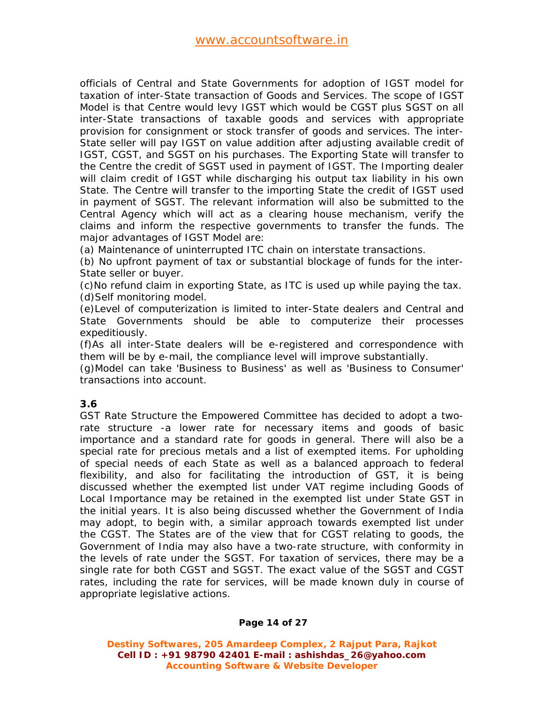officials of Central and State Governments for adoption of IGST model for taxation of inter-State transaction of Goods and Services. The scope of IGST Model is that Centre would levy IGST which would be CGST plus SGST on all inter-State transactions of taxable goods and services with appropriate provision for consignment or stock transfer of goods and services. The inter-State seller will pay IGST on value addition after adjusting available credit of IGST, CGST, and SGST on his purchases. The Exporting State will transfer to the Centre the credit of SGST used in payment of IGST. The Importing dealer will claim credit of IGST while discharging his output tax liability in his own State. The Centre will transfer to the importing State the credit of IGST used in payment of SGST. The relevant information will also be submitted to the Central Agency which will act as a clearing house mechanism, verify the claims and inform the respective governments to transfer the funds. The major advantages of IGST Model are:

(a) Maintenance of uninterrupted ITC chain on interstate transactions.

(b) No upfront payment of tax or substantial blockage of funds for the inter-State seller or buyer.

(c)No refund claim in exporting State, as ITC is used up while paying the tax. (d)Self monitoring model.

(e)Level of computerization is limited to inter-State dealers and Central and State Governments should be able to computerize their processes expeditiously.

(f)As all inter-State dealers will be e-registered and correspondence with them will be by e-mail, the compliance level will improve substantially.

(g)Model can take 'Business to Business' as well as 'Business to Consumer' transactions into account.

### **3.6**

GST Rate Structure the Empowered Committee has decided to adopt a tworate structure -a lower rate for necessary items and goods of basic importance and a standard rate for goods in general. There will also be a special rate for precious metals and a list of exempted items. For upholding of special needs of each State as well as a balanced approach to federal flexibility, and also for facilitating the introduction of GST, it is being discussed whether the exempted list under VAT regime including Goods of Local Importance may be retained in the exempted list under State GST in the initial years. It is also being discussed whether the Government of India may adopt, to begin with, a similar approach towards exempted list under the CGST. The States are of the view that for CGST relating to goods, the Government of India may also have a two-rate structure, with conformity in the levels of rate under the SGST. For taxation of services, there may be a single rate for both CGST and SGST. The exact value of the SGST and CGST rates, including the rate for services, will be made known duly in course of appropriate legislative actions.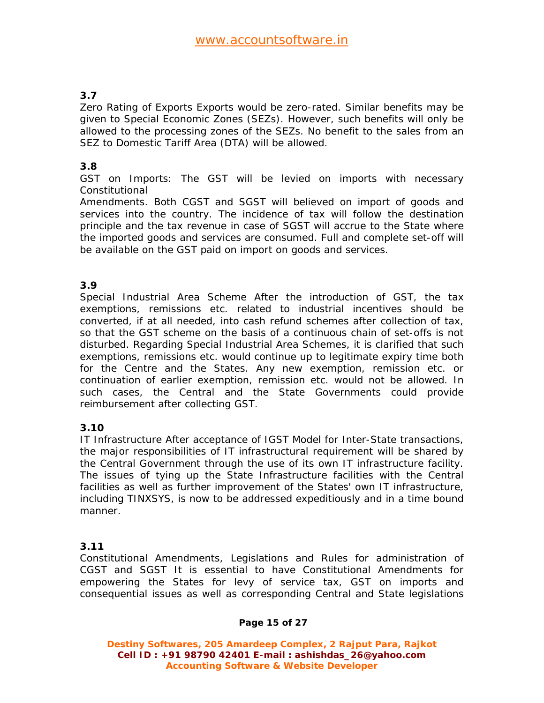# **3.7**

Zero Rating of Exports Exports would be zero-rated. Similar benefits may be given to Special Economic Zones (SEZs). However, such benefits will only be allowed to the processing zones of the SEZs. No benefit to the sales from an SEZ to Domestic Tariff Area (DTA) will be allowed.

# **3.8**

GST on Imports: The GST will be levied on imports with necessary Constitutional

Amendments. Both CGST and SGST will believed on import of goods and services into the country. The incidence of tax will follow the destination principle and the tax revenue in case of SGST will accrue to the State where the imported goods and services are consumed. Full and complete set-off will be available on the GST paid on import on goods and services.

# **3.9**

Special Industrial Area Scheme After the introduction of GST, the tax exemptions, remissions etc. related to industrial incentives should be converted, if at all needed, into cash refund schemes after collection of tax, so that the GST scheme on the basis of a continuous chain of set-offs is not disturbed. Regarding Special Industrial Area Schemes, it is clarified that such exemptions, remissions etc. would continue up to legitimate expiry time both for the Centre and the States. Any new exemption, remission etc. or continuation of earlier exemption, remission etc. would not be allowed. In such cases, the Central and the State Governments could provide reimbursement after collecting GST.

# **3.10**

IT Infrastructure After acceptance of IGST Model for Inter-State transactions, the major responsibilities of IT infrastructural requirement will be shared by the Central Government through the use of its own IT infrastructure facility. The issues of tying up the State Infrastructure facilities with the Central facilities as well as further improvement of the States' own IT infrastructure, including TINXSYS, is now to be addressed expeditiously and in a time bound manner.

# **3.11**

Constitutional Amendments, Legislations and Rules for administration of CGST and SGST It is essential to have Constitutional Amendments for empowering the States for levy of service tax, GST on imports and consequential issues as well as corresponding Central and State legislations

### **Page 15 of 27**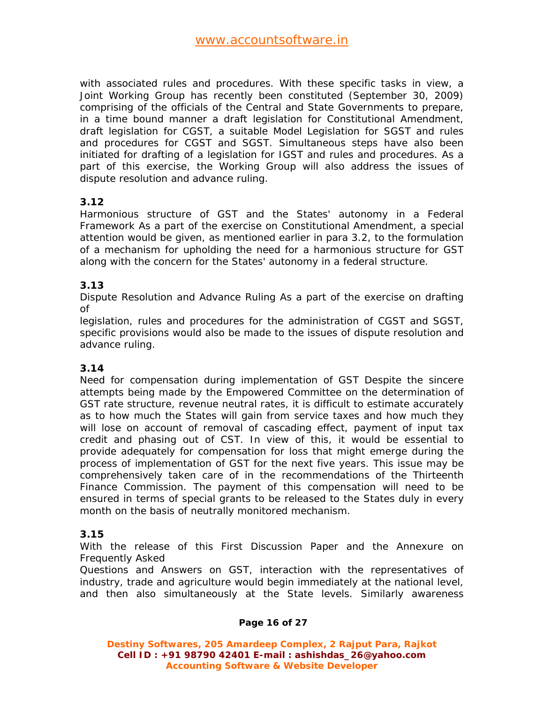with associated rules and procedures. With these specific tasks in view, a Joint Working Group has recently been constituted (September 30, 2009) comprising of the officials of the Central and State Governments to prepare, in a time bound manner a draft legislation for Constitutional Amendment, draft legislation for CGST, a suitable Model Legislation for SGST and rules and procedures for CGST and SGST. Simultaneous steps have also been initiated for drafting of a legislation for IGST and rules and procedures. As a part of this exercise, the Working Group will also address the issues of dispute resolution and advance ruling.

# **3.12**

Harmonious structure of GST and the States' autonomy in a Federal Framework As a part of the exercise on Constitutional Amendment, a special attention would be given, as mentioned earlier in para 3.2, to the formulation of a mechanism for upholding the need for a harmonious structure for GST along with the concern for the States' autonomy in a federal structure.

## **3.13**

Dispute Resolution and Advance Ruling As a part of the exercise on drafting of

legislation, rules and procedures for the administration of CGST and SGST, specific provisions would also be made to the issues of dispute resolution and advance ruling.

### **3.14**

Need for compensation during implementation of GST Despite the sincere attempts being made by the Empowered Committee on the determination of GST rate structure, revenue neutral rates, it is difficult to estimate accurately as to how much the States will gain from service taxes and how much they will lose on account of removal of cascading effect, payment of input tax credit and phasing out of CST. In view of this, it would be essential to provide adequately for compensation for loss that might emerge during the process of implementation of GST for the next five years. This issue may be comprehensively taken care of in the recommendations of the Thirteenth Finance Commission. The payment of this compensation will need to be ensured in terms of special grants to be released to the States duly in every month on the basis of neutrally monitored mechanism.

# **3.15**

With the release of this First Discussion Paper and the Annexure on Frequently Asked

Questions and Answers on GST, interaction with the representatives of industry, trade and agriculture would begin immediately at the national level, and then also simultaneously at the State levels. Similarly awareness

#### **Page 16 of 27**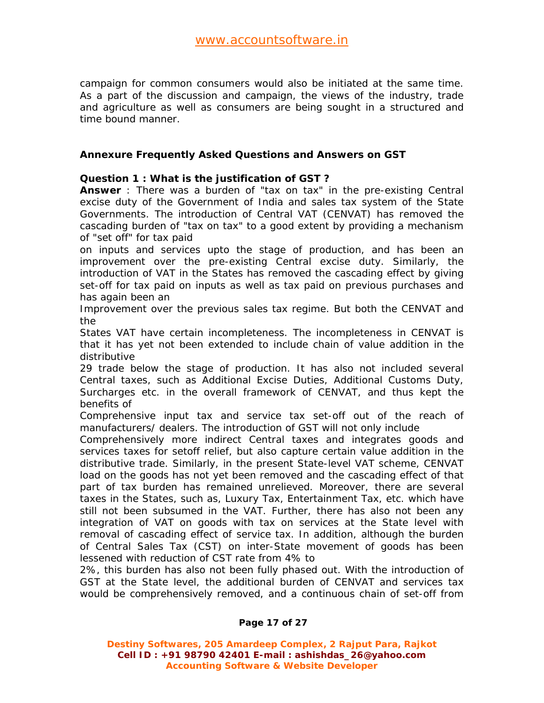campaign for common consumers would also be initiated at the same time. As a part of the discussion and campaign, the views of the industry, trade and agriculture as well as consumers are being sought in a structured and time bound manner.

## **Annexure Frequently Asked Questions and Answers on GST**

## **Question 1 : What is the justification of GST ?**

**Answer** : There was a burden of "tax on tax" in the pre-existing Central excise duty of the Government of India and sales tax system of the State Governments. The introduction of Central VAT (CENVAT) has removed the cascading burden of "tax on tax" to a good extent by providing a mechanism of "set off" for tax paid

on inputs and services upto the stage of production, and has been an improvement over the pre-existing Central excise duty. Similarly, the introduction of VAT in the States has removed the cascading effect by giving set-off for tax paid on inputs as well as tax paid on previous purchases and has again been an

Improvement over the previous sales tax regime. But both the CENVAT and the

States VAT have certain incompleteness. The incompleteness in CENVAT is that it has yet not been extended to include chain of value addition in the distributive

29 trade below the stage of production. It has also not included several Central taxes, such as Additional Excise Duties, Additional Customs Duty, Surcharges etc. in the overall framework of CENVAT, and thus kept the benefits of

Comprehensive input tax and service tax set-off out of the reach of manufacturers/ dealers. The introduction of GST will not only include

Comprehensively more indirect Central taxes and integrates goods and services taxes for setoff relief, but also capture certain value addition in the distributive trade. Similarly, in the present State-level VAT scheme, CENVAT load on the goods has not yet been removed and the cascading effect of that part of tax burden has remained unrelieved. Moreover, there are several taxes in the States, such as, Luxury Tax, Entertainment Tax, etc. which have still not been subsumed in the VAT. Further, there has also not been any integration of VAT on goods with tax on services at the State level with removal of cascading effect of service tax. In addition, although the burden of Central Sales Tax (CST) on inter-State movement of goods has been lessened with reduction of CST rate from 4% to

2%, this burden has also not been fully phased out. With the introduction of GST at the State level, the additional burden of CENVAT and services tax would be comprehensively removed, and a continuous chain of set-off from

#### **Page 17 of 27**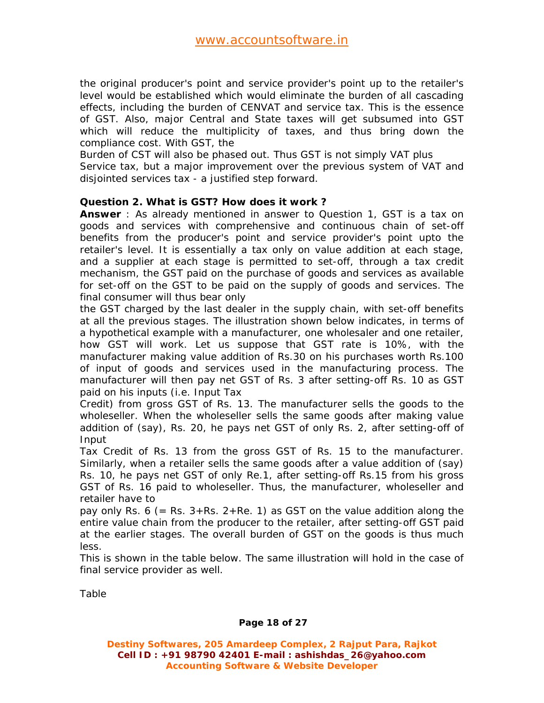the original producer's point and service provider's point up to the retailer's level would be established which would eliminate the burden of all cascading effects, including the burden of CENVAT and service tax. This is the essence of GST. Also, major Central and State taxes will get subsumed into GST which will reduce the multiplicity of taxes, and thus bring down the compliance cost. With GST, the

Burden of CST will also be phased out. Thus GST is not simply VAT plus Service tax, but a major improvement over the previous system of VAT and disjointed services tax - a justified step forward.

## **Question 2. What is GST? How does it work ?**

**Answer** : As already mentioned in answer to Question 1, GST is a tax on goods and services with comprehensive and continuous chain of set-off benefits from the producer's point and service provider's point upto the retailer's level. It is essentially a tax only on value addition at each stage, and a supplier at each stage is permitted to set-off, through a tax credit mechanism, the GST paid on the purchase of goods and services as available for set-off on the GST to be paid on the supply of goods and services. The final consumer will thus bear only

the GST charged by the last dealer in the supply chain, with set-off benefits at all the previous stages. The illustration shown below indicates, in terms of a hypothetical example with a manufacturer, one wholesaler and one retailer, how GST will work. Let us suppose that GST rate is 10%, with the manufacturer making value addition of Rs.30 on his purchases worth Rs.100 of input of goods and services used in the manufacturing process. The manufacturer will then pay net GST of Rs. 3 after setting-off Rs. 10 as GST paid on his inputs (i.e. Input Tax

Credit) from gross GST of Rs. 13. The manufacturer sells the goods to the wholeseller. When the wholeseller sells the same goods after making value addition of (say), Rs. 20, he pays net GST of only Rs. 2, after setting-off of Input

Tax Credit of Rs. 13 from the gross GST of Rs. 15 to the manufacturer. Similarly, when a retailer sells the same goods after a value addition of (say) Rs. 10, he pays net GST of only Re.1, after setting-off Rs.15 from his gross GST of Rs. 16 paid to wholeseller. Thus, the manufacturer, wholeseller and retailer have to

pay only Rs. 6 (= Rs.  $3+Rs$ .  $2+Re$ . 1) as GST on the value addition along the entire value chain from the producer to the retailer, after setting-off GST paid at the earlier stages. The overall burden of GST on the goods is thus much less.

This is shown in the table below. The same illustration will hold in the case of final service provider as well.

Table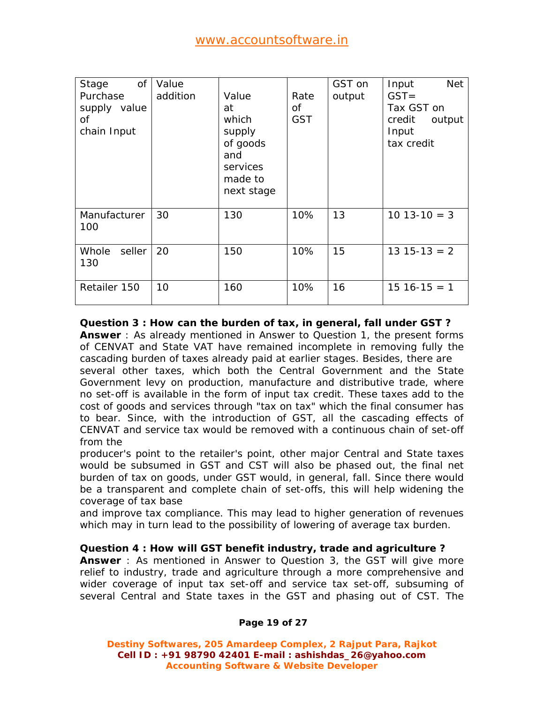| 0f<br>Stage<br>Purchase<br>supply value<br>Οf<br>chain Input | Value<br>addition | Value<br>at<br>which<br>supply<br>of goods<br>and<br>services<br>made to<br>next stage | Rate<br><b>of</b><br><b>GST</b> | GST on<br>output | Net<br>Input<br>$GST =$<br>Tax GST on<br>credit<br>output<br>Input<br>tax credit |
|--------------------------------------------------------------|-------------------|----------------------------------------------------------------------------------------|---------------------------------|------------------|----------------------------------------------------------------------------------|
| Manufacturer<br>100                                          | 30                | 130                                                                                    | 10%                             | 13               | $10 13 - 10 = 3$                                                                 |
| Whole<br>seller<br>130                                       | 20                | 150                                                                                    | 10%                             | 15               | $13 15 - 13 = 2$                                                                 |
| Retailer 150                                                 | 10                | 160                                                                                    | 10%                             | 16               | $15 16 - 15 = 1$                                                                 |

**Question 3 : How can the burden of tax, in general, fall under GST ?** 

**Answer** : As already mentioned in Answer to Question 1, the present forms of CENVAT and State VAT have remained incomplete in removing fully the cascading burden of taxes already paid at earlier stages. Besides, there are several other taxes, which both the Central Government and the State Government levy on production, manufacture and distributive trade, where no set-off is available in the form of input tax credit. These taxes add to the cost of goods and services through "tax on tax" which the final consumer has to bear. Since, with the introduction of GST, all the cascading effects of CENVAT and service tax would be removed with a continuous chain of set-off from the

producer's point to the retailer's point, other major Central and State taxes would be subsumed in GST and CST will also be phased out, the final net burden of tax on goods, under GST would, in general, fall. Since there would be a transparent and complete chain of set-offs, this will help widening the coverage of tax base

and improve tax compliance. This may lead to higher generation of revenues which may in turn lead to the possibility of lowering of average tax burden.

# **Question 4 : How will GST benefit industry, trade and agriculture ?**

**Answer** : As mentioned in Answer to Question 3, the GST will give more relief to industry, trade and agriculture through a more comprehensive and wider coverage of input tax set-off and service tax set-off, subsuming of several Central and State taxes in the GST and phasing out of CST. The

### **Page 19 of 27**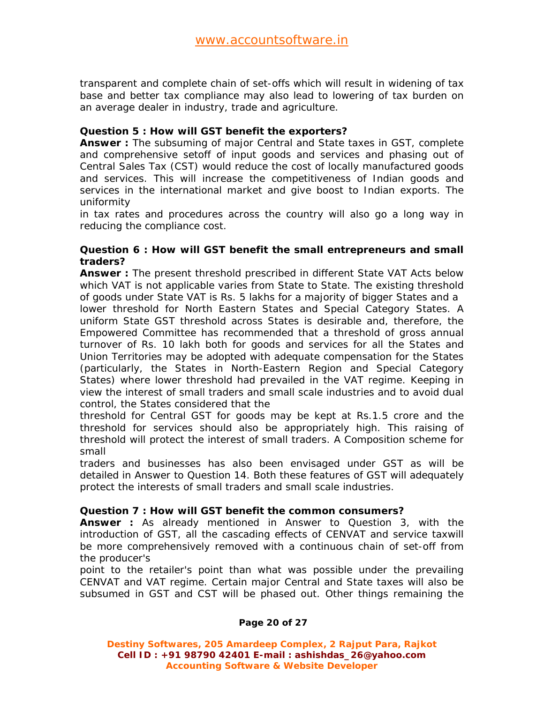transparent and complete chain of set-offs which will result in widening of tax base and better tax compliance may also lead to lowering of tax burden on an average dealer in industry, trade and agriculture.

# **Question 5 : How will GST benefit the exporters?**

**Answer :** The subsuming of major Central and State taxes in GST, complete and comprehensive setoff of input goods and services and phasing out of Central Sales Tax (CST) would reduce the cost of locally manufactured goods and services. This will increase the competitiveness of Indian goods and services in the international market and give boost to Indian exports. The uniformity

in tax rates and procedures across the country will also go a long way in reducing the compliance cost.

## **Question 6 : How will GST benefit the small entrepreneurs and small traders?**

**Answer :** The present threshold prescribed in different State VAT Acts below which VAT is not applicable varies from State to State. The existing threshold of goods under State VAT is Rs. 5 lakhs for a majority of bigger States and a lower threshold for North Eastern States and Special Category States. A uniform State GST threshold across States is desirable and, therefore, the Empowered Committee has recommended that a threshold of gross annual turnover of Rs. 10 lakh both for goods and services for all the States and Union Territories may be adopted with adequate compensation for the States (particularly, the States in North-Eastern Region and Special Category States) where lower threshold had prevailed in the VAT regime. Keeping in view the interest of small traders and small scale industries and to avoid dual control, the States considered that the

threshold for Central GST for goods may be kept at Rs.1.5 crore and the threshold for services should also be appropriately high. This raising of threshold will protect the interest of small traders. A Composition scheme for small

traders and businesses has also been envisaged under GST as will be detailed in Answer to Question 14. Both these features of GST will adequately protect the interests of small traders and small scale industries.

# **Question 7 : How will GST benefit the common consumers?**

**Answer :** As already mentioned in Answer to Question 3, with the introduction of GST, all the cascading effects of CENVAT and service taxwill be more comprehensively removed with a continuous chain of set-off from the producer's

point to the retailer's point than what was possible under the prevailing CENVAT and VAT regime. Certain major Central and State taxes will also be subsumed in GST and CST will be phased out. Other things remaining the

### **Page 20 of 27**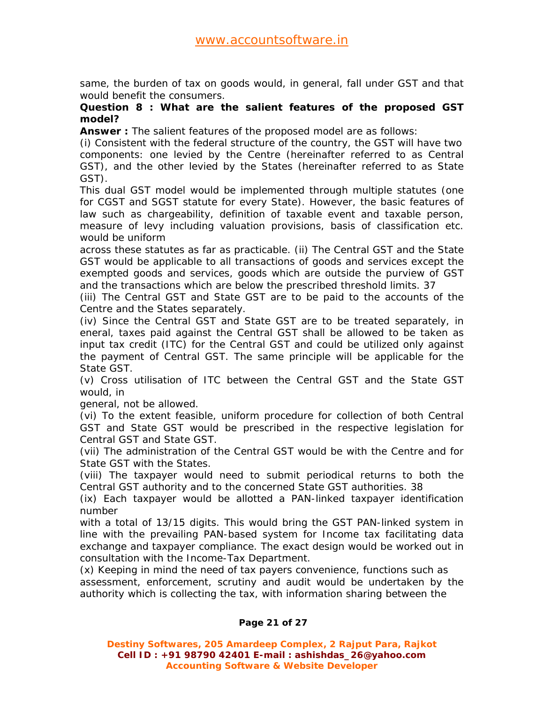same, the burden of tax on goods would, in general, fall under GST and that would benefit the consumers.

## **Question 8 : What are the salient features of the proposed GST model?**

**Answer :** The salient features of the proposed model are as follows:

(i) Consistent with the federal structure of the country, the GST will have two components: one levied by the Centre (hereinafter referred to as Central GST), and the other levied by the States (hereinafter referred to as State GST).

This dual GST model would be implemented through multiple statutes (one for CGST and SGST statute for every State). However, the basic features of law such as chargeability, definition of taxable event and taxable person, measure of levy including valuation provisions, basis of classification etc. would be uniform

across these statutes as far as practicable. (ii) The Central GST and the State GST would be applicable to all transactions of goods and services except the exempted goods and services, goods which are outside the purview of GST and the transactions which are below the prescribed threshold limits. 37

(iii) The Central GST and State GST are to be paid to the accounts of the Centre and the States separately.

(iv) Since the Central GST and State GST are to be treated separately, in eneral, taxes paid against the Central GST shall be allowed to be taken as input tax credit (ITC) for the Central GST and could be utilized only against the payment of Central GST. The same principle will be applicable for the State GST.

(v) Cross utilisation of ITC between the Central GST and the State GST would, in

general, not be allowed.

(vi) To the extent feasible, uniform procedure for collection of both Central GST and State GST would be prescribed in the respective legislation for Central GST and State GST.

(vii) The administration of the Central GST would be with the Centre and for State GST with the States.

(viii) The taxpayer would need to submit periodical returns to both the Central GST authority and to the concerned State GST authorities. 38

(ix) Each taxpayer would be allotted a PAN-linked taxpayer identification number

with a total of 13/15 digits. This would bring the GST PAN-linked system in line with the prevailing PAN-based system for Income tax facilitating data exchange and taxpayer compliance. The exact design would be worked out in consultation with the Income-Tax Department.

(x) Keeping in mind the need of tax payers convenience, functions such as assessment, enforcement, scrutiny and audit would be undertaken by the authority which is collecting the tax, with information sharing between the

### **Page 21 of 27**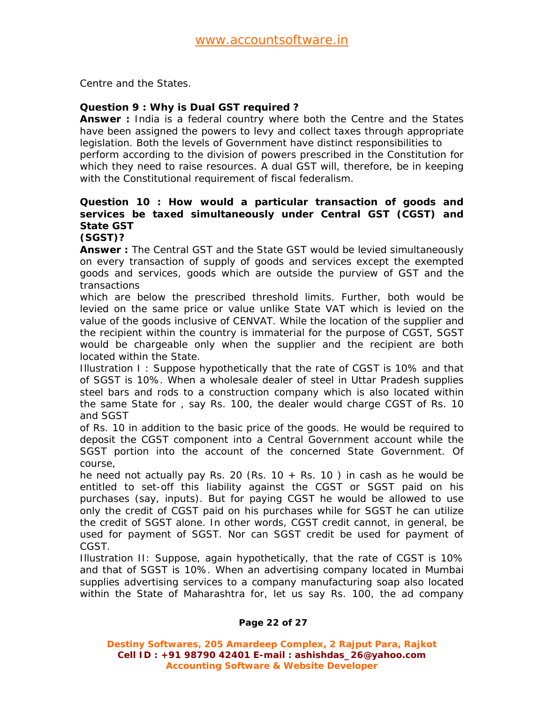Centre and the States.

## **Question 9 : Why is Dual GST required ?**

**Answer :** India is a federal country where both the Centre and the States have been assigned the powers to levy and collect taxes through appropriate legislation. Both the levels of Government have distinct responsibilities to

perform according to the division of powers prescribed in the Constitution for which they need to raise resources. A dual GST will, therefore, be in keeping with the Constitutional requirement of fiscal federalism.

# **Question 10 : How would a particular transaction of goods and services be taxed simultaneously under Central GST (CGST) and State GST**

### **(SGST)?**

**Answer :** The Central GST and the State GST would be levied simultaneously on every transaction of supply of goods and services except the exempted goods and services, goods which are outside the purview of GST and the transactions

which are below the prescribed threshold limits. Further, both would be levied on the same price or value unlike State VAT which is levied on the value of the goods inclusive of CENVAT. While the location of the supplier and the recipient within the country is immaterial for the purpose of CGST, SGST would be chargeable only when the supplier and the recipient are both located within the State.

Illustration I : Suppose hypothetically that the rate of CGST is 10% and that of SGST is 10%. When a wholesale dealer of steel in Uttar Pradesh supplies steel bars and rods to a construction company which is also located within the same State for , say Rs. 100, the dealer would charge CGST of Rs. 10 and SGST

of Rs. 10 in addition to the basic price of the goods. He would be required to deposit the CGST component into a Central Government account while the SGST portion into the account of the concerned State Government. Of course,

he need not actually pay Rs. 20 (Rs.  $10 +$  Rs. 10) in cash as he would be entitled to set-off this liability against the CGST or SGST paid on his purchases (say, inputs). But for paying CGST he would be allowed to use only the credit of CGST paid on his purchases while for SGST he can utilize the credit of SGST alone. In other words, CGST credit cannot, in general, be used for payment of SGST. Nor can SGST credit be used for payment of CGST.

Illustration II: Suppose, again hypothetically, that the rate of CGST is 10% and that of SGST is 10%. When an advertising company located in Mumbai supplies advertising services to a company manufacturing soap also located within the State of Maharashtra for, let us say Rs. 100, the ad company

### **Page 22 of 27**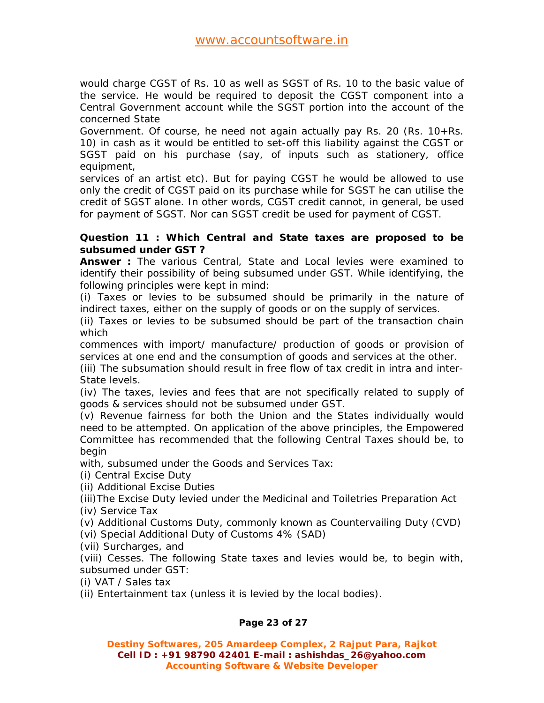would charge CGST of Rs. 10 as well as SGST of Rs. 10 to the basic value of the service. He would be required to deposit the CGST component into a Central Government account while the SGST portion into the account of the concerned State

Government. Of course, he need not again actually pay Rs. 20 (Rs. 10+Rs. 10) in cash as it would be entitled to set-off this liability against the CGST or SGST paid on his purchase (say, of inputs such as stationery, office equipment,

services of an artist etc). But for paying CGST he would be allowed to use only the credit of CGST paid on its purchase while for SGST he can utilise the credit of SGST alone. In other words, CGST credit cannot, in general, be used for payment of SGST. Nor can SGST credit be used for payment of CGST.

## **Question 11 : Which Central and State taxes are proposed to be subsumed under GST ?**

**Answer :** The various Central, State and Local levies were examined to identify their possibility of being subsumed under GST. While identifying, the following principles were kept in mind:

(i) Taxes or levies to be subsumed should be primarily in the nature of indirect taxes, either on the supply of goods or on the supply of services.

(ii) Taxes or levies to be subsumed should be part of the transaction chain which

commences with import/ manufacture/ production of goods or provision of services at one end and the consumption of goods and services at the other.

(iii) The subsumation should result in free flow of tax credit in intra and inter-State levels.

(iv) The taxes, levies and fees that are not specifically related to supply of goods & services should not be subsumed under GST.

(v) Revenue fairness for both the Union and the States individually would need to be attempted. On application of the above principles, the Empowered Committee has recommended that the following Central Taxes should be, to begin

with, subsumed under the Goods and Services Tax:

(i) Central Excise Duty

(ii) Additional Excise Duties

(iii)The Excise Duty levied under the Medicinal and Toiletries Preparation Act (iv) Service Tax

(v) Additional Customs Duty, commonly known as Countervailing Duty (CVD)

(vi) Special Additional Duty of Customs 4% (SAD)

(vii) Surcharges, and

(viii) Cesses. The following State taxes and levies would be, to begin with, subsumed under GST:

(i) VAT / Sales tax

(ii) Entertainment tax (unless it is levied by the local bodies).

### **Page 23 of 27**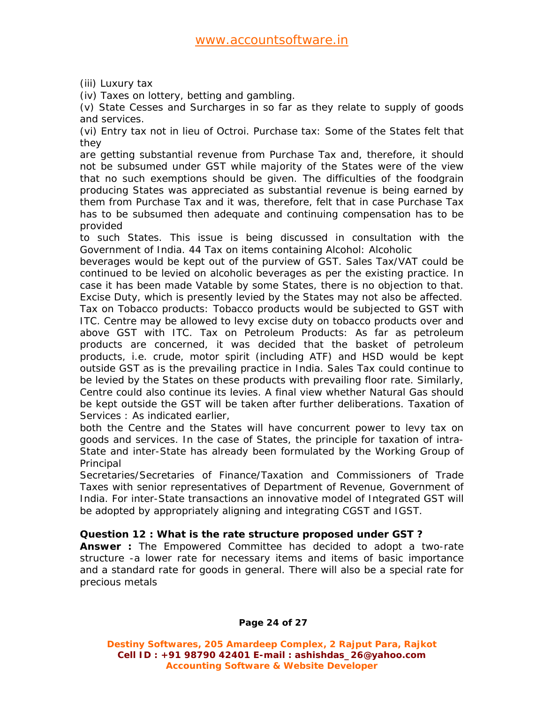(iii) Luxury tax

(iv) Taxes on lottery, betting and gambling.

(v) State Cesses and Surcharges in so far as they relate to supply of goods and services.

(vi) Entry tax not in lieu of Octroi. Purchase tax: Some of the States felt that they

are getting substantial revenue from Purchase Tax and, therefore, it should not be subsumed under GST while majority of the States were of the view that no such exemptions should be given. The difficulties of the foodgrain producing States was appreciated as substantial revenue is being earned by them from Purchase Tax and it was, therefore, felt that in case Purchase Tax has to be subsumed then adequate and continuing compensation has to be provided

to such States. This issue is being discussed in consultation with the Government of India. 44 Tax on items containing Alcohol: Alcoholic

beverages would be kept out of the purview of GST. Sales Tax/VAT could be continued to be levied on alcoholic beverages as per the existing practice. In case it has been made Vatable by some States, there is no objection to that. Excise Duty, which is presently levied by the States may not also be affected.

Tax on Tobacco products: Tobacco products would be subjected to GST with ITC. Centre may be allowed to levy excise duty on tobacco products over and above GST with ITC. Tax on Petroleum Products: As far as petroleum products are concerned, it was decided that the basket of petroleum products, i.e. crude, motor spirit (including ATF) and HSD would be kept outside GST as is the prevailing practice in India. Sales Tax could continue to be levied by the States on these products with prevailing floor rate. Similarly, Centre could also continue its levies. A final view whether Natural Gas should be kept outside the GST will be taken after further deliberations. Taxation of Services : As indicated earlier,

both the Centre and the States will have concurrent power to levy tax on goods and services. In the case of States, the principle for taxation of intra-State and inter-State has already been formulated by the Working Group of **Principal** 

Secretaries/Secretaries of Finance/Taxation and Commissioners of Trade Taxes with senior representatives of Department of Revenue, Government of India. For inter-State transactions an innovative model of Integrated GST will be adopted by appropriately aligning and integrating CGST and IGST.

### **Question 12 : What is the rate structure proposed under GST ?**

**Answer :** The Empowered Committee has decided to adopt a two-rate structure -a lower rate for necessary items and items of basic importance and a standard rate for goods in general. There will also be a special rate for precious metals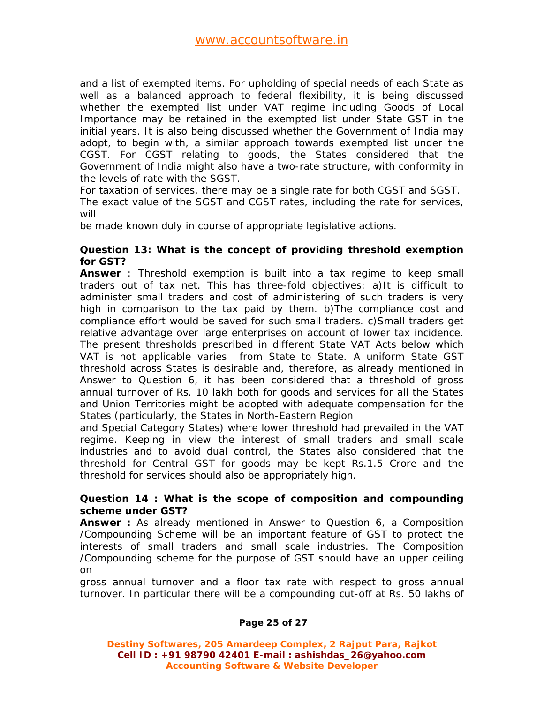and a list of exempted items. For upholding of special needs of each State as well as a balanced approach to federal flexibility, it is being discussed whether the exempted list under VAT regime including Goods of Local Importance may be retained in the exempted list under State GST in the initial years. It is also being discussed whether the Government of India may adopt, to begin with, a similar approach towards exempted list under the CGST. For CGST relating to goods, the States considered that the Government of India might also have a two-rate structure, with conformity in the levels of rate with the SGST.

For taxation of services, there may be a single rate for both CGST and SGST. The exact value of the SGST and CGST rates, including the rate for services, will

be made known duly in course of appropriate legislative actions.

## **Question 13: What is the concept of providing threshold exemption for GST?**

**Answer** : Threshold exemption is built into a tax regime to keep small traders out of tax net. This has three-fold objectives: a)It is difficult to administer small traders and cost of administering of such traders is very high in comparison to the tax paid by them. b)The compliance cost and compliance effort would be saved for such small traders. c)Small traders get relative advantage over large enterprises on account of lower tax incidence. The present thresholds prescribed in different State VAT Acts below which VAT is not applicable varies from State to State. A uniform State GST threshold across States is desirable and, therefore, as already mentioned in Answer to Question 6, it has been considered that a threshold of gross annual turnover of Rs. 10 lakh both for goods and services for all the States and Union Territories might be adopted with adequate compensation for the States (particularly, the States in North-Eastern Region

and Special Category States) where lower threshold had prevailed in the VAT regime. Keeping in view the interest of small traders and small scale industries and to avoid dual control, the States also considered that the threshold for Central GST for goods may be kept Rs.1.5 Crore and the threshold for services should also be appropriately high.

### **Question 14 : What is the scope of composition and compounding scheme under GST?**

**Answer :** As already mentioned in Answer to Question 6, a Composition /Compounding Scheme will be an important feature of GST to protect the interests of small traders and small scale industries. The Composition /Compounding scheme for the purpose of GST should have an upper ceiling on

gross annual turnover and a floor tax rate with respect to gross annual turnover. In particular there will be a compounding cut-off at Rs. 50 lakhs of

### **Page 25 of 27**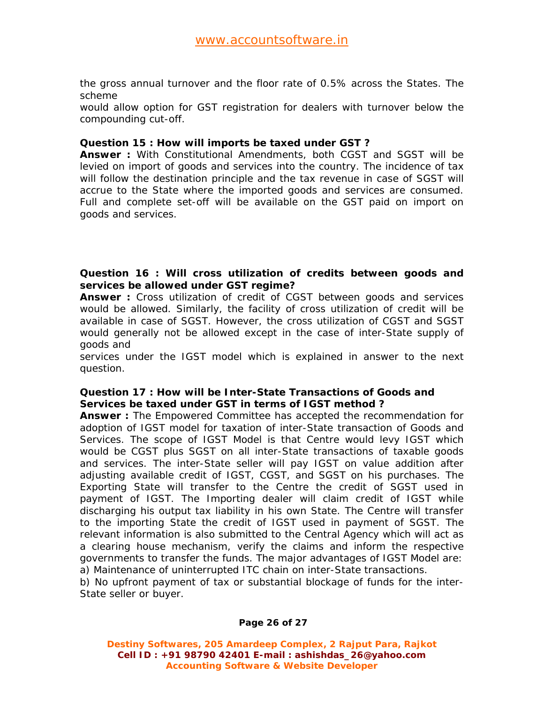the gross annual turnover and the floor rate of 0.5% across the States. The scheme

would allow option for GST registration for dealers with turnover below the compounding cut-off.

## **Question 15 : How will imports be taxed under GST ?**

**Answer :** With Constitutional Amendments, both CGST and SGST will be levied on import of goods and services into the country. The incidence of tax will follow the destination principle and the tax revenue in case of SGST will accrue to the State where the imported goods and services are consumed. Full and complete set-off will be available on the GST paid on import on goods and services.

## **Question 16 : Will cross utilization of credits between goods and services be allowed under GST regime?**

**Answer :** Cross utilization of credit of CGST between goods and services would be allowed. Similarly, the facility of cross utilization of credit will be available in case of SGST. However, the cross utilization of CGST and SGST would generally not be allowed except in the case of inter-State supply of goods and

services under the IGST model which is explained in answer to the next question.

## **Question 17 : How will be Inter-State Transactions of Goods and Services be taxed under GST in terms of IGST method ?**

**Answer :** The Empowered Committee has accepted the recommendation for adoption of IGST model for taxation of inter-State transaction of Goods and Services. The scope of IGST Model is that Centre would levy IGST which would be CGST plus SGST on all inter-State transactions of taxable goods and services. The inter-State seller will pay IGST on value addition after adjusting available credit of IGST, CGST, and SGST on his purchases. The Exporting State will transfer to the Centre the credit of SGST used in payment of IGST. The Importing dealer will claim credit of IGST while discharging his output tax liability in his own State. The Centre will transfer to the importing State the credit of IGST used in payment of SGST. The relevant information is also submitted to the Central Agency which will act as a clearing house mechanism, verify the claims and inform the respective governments to transfer the funds. The major advantages of IGST Model are: a) Maintenance of uninterrupted ITC chain on inter-State transactions.

b) No upfront payment of tax or substantial blockage of funds for the inter-State seller or buyer.